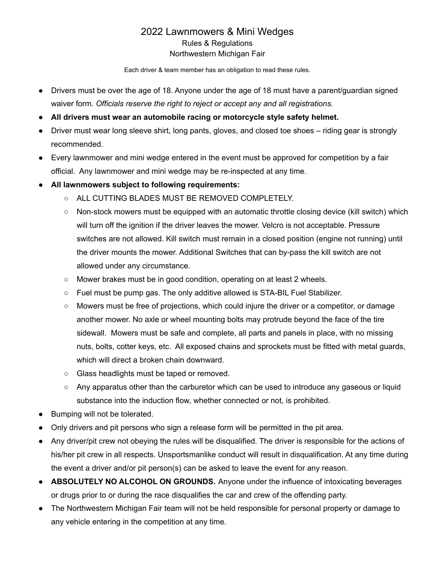## 2022 Lawnmowers & Mini Wedges Rules & Regulations Northwestern Michigan Fair

Each driver & team member has an obligation to read these rules.

- Drivers must be over the age of 18. Anyone under the age of 18 must have a parent/guardian signed waiver form. *Officials reserve the right to reject or accept any and all registrations.*
- **● All drivers must wear an automobile racing or motorcycle style safety helmet.**
- Driver must wear long sleeve shirt, long pants, gloves, and closed toe shoes riding gear is strongly recommended.
- Every lawnmower and mini wedge entered in the event must be approved for competition by a fair official. Any lawnmower and mini wedge may be re-inspected at any time.
- **● All lawnmowers subject to following requirements:**
	- ALL CUTTING BLADES MUST BE REMOVED COMPLETELY.
	- Non-stock mowers must be equipped with an automatic throttle closing device (kill switch) which will turn off the ignition if the driver leaves the mower. Velcro is not acceptable. Pressure switches are not allowed. Kill switch must remain in a closed position (engine not running) until the driver mounts the mower. Additional Switches that can by-pass the kill switch are not allowed under any circumstance.
	- Mower brakes must be in good condition, operating on at least 2 wheels.
	- Fuel must be pump gas. The only additive allowed is STA-BIL Fuel Stabilizer.
	- Mowers must be free of projections, which could injure the driver or a competitor, or damage another mower. No axle or wheel mounting bolts may protrude beyond the face of the tire sidewall. Mowers must be safe and complete, all parts and panels in place, with no missing nuts, bolts, cotter keys, etc. All exposed chains and sprockets must be fitted with metal guards, which will direct a broken chain downward.
	- Glass headlights must be taped or removed.
	- Any apparatus other than the carburetor which can be used to introduce any gaseous or liquid substance into the induction flow, whether connected or not, is prohibited.
- Bumping will not be tolerated.
- Only drivers and pit persons who sign a release form will be permitted in the pit area.
- Any driver/pit crew not obeying the rules will be disqualified. The driver is responsible for the actions of his/her pit crew in all respects. Unsportsmanlike conduct will result in disqualification. At any time during the event a driver and/or pit person(s) can be asked to leave the event for any reason.
- **ABSOLUTELY NO ALCOHOL ON GROUNDS.** Anyone under the influence of intoxicating beverages or drugs prior to or during the race disqualifies the car and crew of the offending party.
- The Northwestern Michigan Fair team will not be held responsible for personal property or damage to any vehicle entering in the competition at any time.